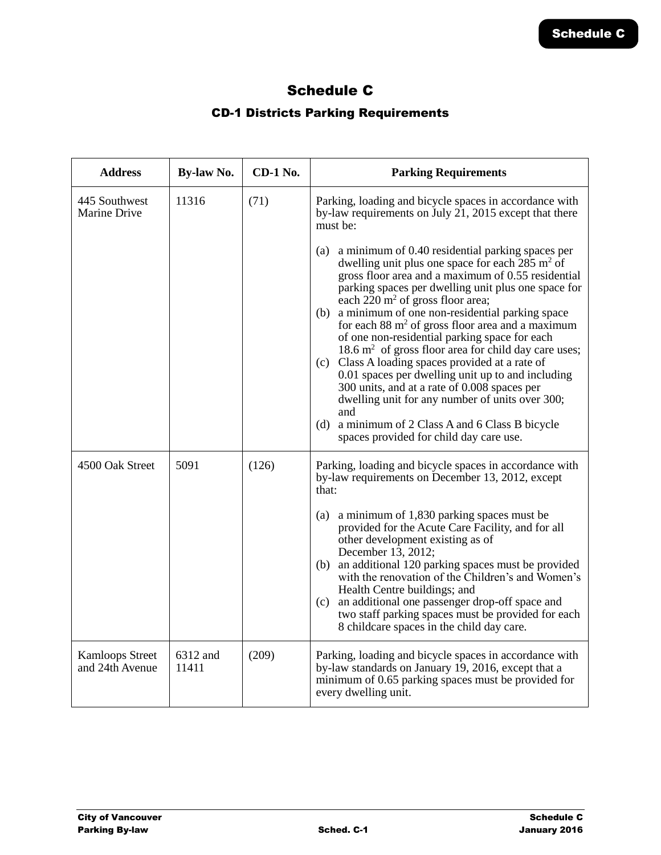## Schedule C

## CD-1 Districts Parking Requirements

| <b>Address</b>                            | By-law No.        | <b>CD-1 No.</b> | <b>Parking Requirements</b>                                                                                                                                                                                                                                                                                                                                                                                                                                                                                                                                                                                                                                                                                                                                                           |
|-------------------------------------------|-------------------|-----------------|---------------------------------------------------------------------------------------------------------------------------------------------------------------------------------------------------------------------------------------------------------------------------------------------------------------------------------------------------------------------------------------------------------------------------------------------------------------------------------------------------------------------------------------------------------------------------------------------------------------------------------------------------------------------------------------------------------------------------------------------------------------------------------------|
| 445 Southwest<br>Marine Drive             | 11316             | (71)            | Parking, loading and bicycle spaces in accordance with<br>by-law requirements on July $21$ , 2015 except that there<br>must be:<br>a minimum of 0.40 residential parking spaces per<br>(a)                                                                                                                                                                                                                                                                                                                                                                                                                                                                                                                                                                                            |
|                                           |                   |                 | dwelling unit plus one space for each 285 m <sup>2</sup> of<br>gross floor area and a maximum of 0.55 residential<br>parking spaces per dwelling unit plus one space for<br>each $220 \text{ m}^2$ of gross floor area;<br>a minimum of one non-residential parking space<br>(b)<br>for each $88 \text{ m}^2$ of gross floor area and a maximum<br>of one non-residential parking space for each<br>$18.6 \text{ m}^2$ of gross floor area for child day care uses;<br>(c) Class A loading spaces provided at a rate of<br>0.01 spaces per dwelling unit up to and including<br>300 units, and at a rate of 0.008 spaces per<br>dwelling unit for any number of units over 300;<br>and<br>(d) a minimum of 2 Class A and 6 Class B bicycle<br>spaces provided for child day care use. |
| 4500 Oak Street                           | 5091              | (126)           | Parking, loading and bicycle spaces in accordance with<br>by-law requirements on December 13, 2012, except<br>that:                                                                                                                                                                                                                                                                                                                                                                                                                                                                                                                                                                                                                                                                   |
|                                           |                   |                 | (a) a minimum of 1,830 parking spaces must be<br>provided for the Acute Care Facility, and for all<br>other development existing as of<br>December 13, 2012;<br>(b) an additional 120 parking spaces must be provided<br>with the renovation of the Children's and Women's<br>Health Centre buildings; and<br>(c) an additional one passenger drop-off space and<br>two staff parking spaces must be provided for each<br>8 childcare spaces in the child day care.                                                                                                                                                                                                                                                                                                                   |
| <b>Kamloops Street</b><br>and 24th Avenue | 6312 and<br>11411 | (209)           | Parking, loading and bicycle spaces in accordance with<br>by-law standards on January 19, 2016, except that a<br>minimum of 0.65 parking spaces must be provided for<br>every dwelling unit.                                                                                                                                                                                                                                                                                                                                                                                                                                                                                                                                                                                          |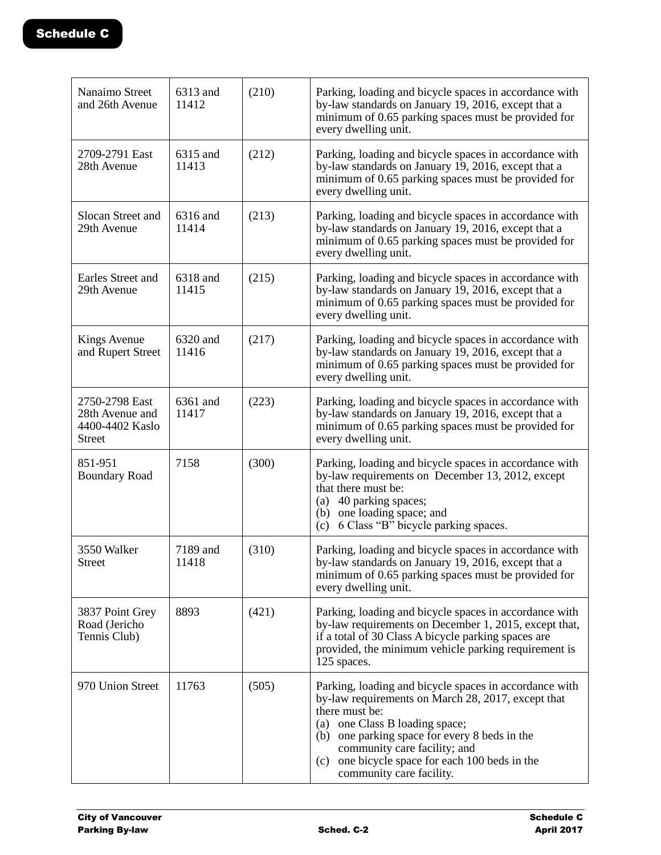| Nanaimo Street<br>and 26th Avenue                                     | 6313 and<br>11412 | (210) | Parking, loading and bicycle spaces in accordance with<br>by-law standards on January 19, 2016, except that a<br>minimum of 0.65 parking spaces must be provided for<br>every dwelling unit.                                                                                                                                       |
|-----------------------------------------------------------------------|-------------------|-------|------------------------------------------------------------------------------------------------------------------------------------------------------------------------------------------------------------------------------------------------------------------------------------------------------------------------------------|
| 2709-2791 East<br>28th Avenue                                         | 6315 and<br>11413 | (212) | Parking, loading and bicycle spaces in accordance with<br>by-law standards on January 19, 2016, except that a<br>minimum of 0.65 parking spaces must be provided for<br>every dwelling unit.                                                                                                                                       |
| Slocan Street and<br>29th Avenue                                      | 6316 and<br>11414 | (213) | Parking, loading and bicycle spaces in accordance with<br>by-law standards on January 19, 2016, except that a<br>minimum of 0.65 parking spaces must be provided for<br>every dwelling unit.                                                                                                                                       |
| Earles Street and<br>29th Avenue                                      | 6318 and<br>11415 | (215) | Parking, loading and bicycle spaces in accordance with<br>by-law standards on January 19, 2016, except that a<br>minimum of 0.65 parking spaces must be provided for<br>every dwelling unit.                                                                                                                                       |
| <b>Kings Avenue</b><br>and Rupert Street                              | 6320 and<br>11416 | (217) | Parking, loading and bicycle spaces in accordance with<br>by-law standards on January 19, 2016, except that a<br>minimum of 0.65 parking spaces must be provided for<br>every dwelling unit.                                                                                                                                       |
| 2750-2798 East<br>28th Avenue and<br>4400-4402 Kaslo<br><b>Street</b> | 6361 and<br>11417 | (223) | Parking, loading and bicycle spaces in accordance with<br>by-law standards on January 19, 2016, except that a<br>minimum of 0.65 parking spaces must be provided for<br>every dwelling unit.                                                                                                                                       |
| 851-951<br><b>Boundary Road</b>                                       | 7158              | (300) | Parking, loading and bicycle spaces in accordance with<br>by-law requirements on December 13, 2012, except<br>that there must be:<br>(a) 40 parking spaces;<br>(b) one loading space; and<br>(c) 6 Class "B" bicycle parking spaces.                                                                                               |
| 3550 Walker<br><b>Street</b>                                          | 7189 and<br>11418 | (310) | Parking, loading and bicycle spaces in accordance with<br>by-law standards on January 19, 2016, except that a<br>minimum of 0.65 parking spaces must be provided for<br>every dwelling unit.                                                                                                                                       |
| 3837 Point Grey<br>Road (Jericho<br>Tennis Club)                      | 8893              | (421) | Parking, loading and bicycle spaces in accordance with<br>by-law requirements on December 1, 2015, except that,<br>if a total of 30 Class A bicycle parking spaces are<br>provided, the minimum vehicle parking requirement is<br>125 spaces.                                                                                      |
| 970 Union Street                                                      | 11763             | (505) | Parking, loading and bicycle spaces in accordance with<br>by-law requirements on March 28, 2017, except that<br>there must be:<br>(a) one Class B loading space;<br>(b) one parking space for every 8 beds in the<br>community care facility; and<br>one bicycle space for each 100 beds in the<br>(c)<br>community care facility. |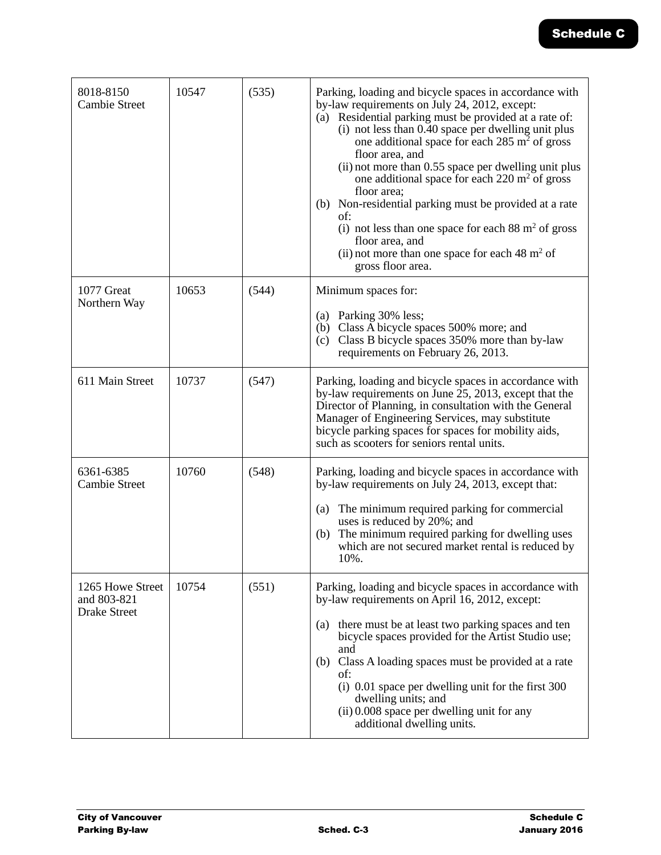| 8018-8150<br><b>Cambie Street</b>                      | 10547 | (535) | Parking, loading and bicycle spaces in accordance with<br>by-law requirements on July 24, 2012, except:<br>(a) Residential parking must be provided at a rate of:<br>(i) not less than 0.40 space per dwelling unit plus<br>one additional space for each $285 \text{ m}^2$ of gross<br>floor area, and<br>(ii) not more than 0.55 space per dwelling unit plus<br>one additional space for each $220 \text{ m}^2$ of gross<br>floor area;<br>(b) Non-residential parking must be provided at a rate<br>of:<br>(i) not less than one space for each $88 \text{ m}^2$ of gross<br>floor area, and<br>(ii) not more than one space for each $48 \text{ m}^2$ of<br>gross floor area. |
|--------------------------------------------------------|-------|-------|------------------------------------------------------------------------------------------------------------------------------------------------------------------------------------------------------------------------------------------------------------------------------------------------------------------------------------------------------------------------------------------------------------------------------------------------------------------------------------------------------------------------------------------------------------------------------------------------------------------------------------------------------------------------------------|
| 1077 Great<br>Northern Way                             | 10653 | (544) | Minimum spaces for:<br>(a) Parking 30% less;<br>(b) Class A bicycle spaces 500% more; and<br>(c) Class B bicycle spaces 350% more than by-law<br>requirements on February 26, 2013.                                                                                                                                                                                                                                                                                                                                                                                                                                                                                                |
| 611 Main Street                                        | 10737 | (547) | Parking, loading and bicycle spaces in accordance with<br>by-law requirements on June 25, 2013, except that the<br>Director of Planning, in consultation with the General<br>Manager of Engineering Services, may substitute<br>bicycle parking spaces for spaces for mobility aids,<br>such as scooters for seniors rental units.                                                                                                                                                                                                                                                                                                                                                 |
| 6361-6385<br><b>Cambie Street</b>                      | 10760 | (548) | Parking, loading and bicycle spaces in accordance with<br>by-law requirements on July 24, 2013, except that:<br>The minimum required parking for commercial<br>(a)<br>uses is reduced by 20%; and<br>The minimum required parking for dwelling uses<br>(b)<br>which are not secured market rental is reduced by<br>10%.                                                                                                                                                                                                                                                                                                                                                            |
| 1265 Howe Street<br>and 803-821<br><b>Drake Street</b> | 10754 | (551) | Parking, loading and bicycle spaces in accordance with<br>by-law requirements on April 16, 2012, except:<br>there must be at least two parking spaces and ten<br>(a)<br>bicycle spaces provided for the Artist Studio use;<br>and<br>Class A loading spaces must be provided at a rate<br>(b)<br>of:<br>(i) 0.01 space per dwelling unit for the first 300<br>dwelling units; and<br>$(ii)$ 0.008 space per dwelling unit for any<br>additional dwelling units.                                                                                                                                                                                                                    |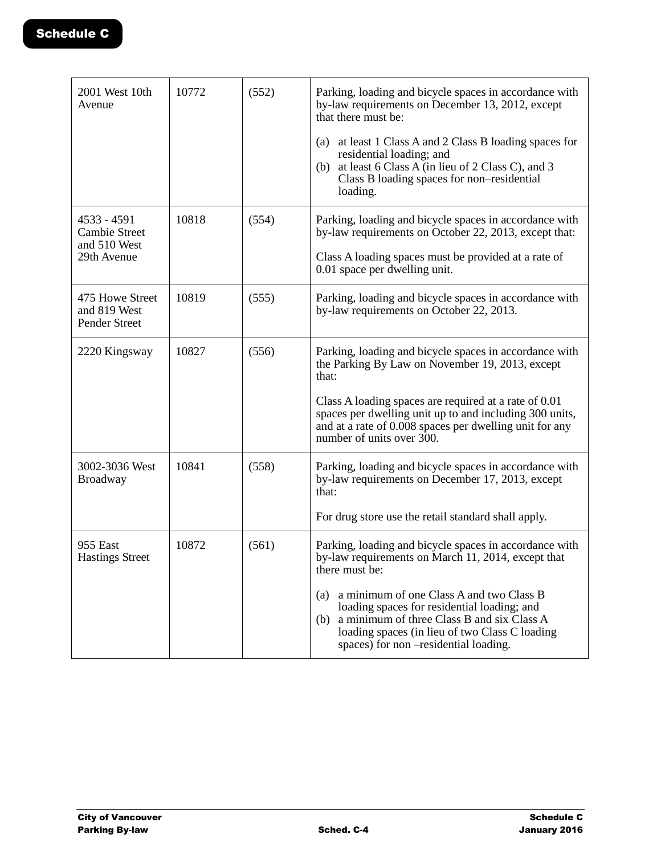| 2001 West 10th<br>Avenue                                           | 10772 | (552) | Parking, loading and bicycle spaces in accordance with<br>by-law requirements on December 13, 2012, except<br>that there must be:<br>(a) at least 1 Class A and 2 Class B loading spaces for<br>residential loading; and<br>at least 6 Class A (in lieu of 2 Class C), and 3<br>(b)<br>Class B loading spaces for non-residential<br>loading.                                   |
|--------------------------------------------------------------------|-------|-------|---------------------------------------------------------------------------------------------------------------------------------------------------------------------------------------------------------------------------------------------------------------------------------------------------------------------------------------------------------------------------------|
| 4533 - 4591<br><b>Cambie Street</b><br>and 510 West<br>29th Avenue | 10818 | (554) | Parking, loading and bicycle spaces in accordance with<br>by-law requirements on October 22, 2013, except that:<br>Class A loading spaces must be provided at a rate of<br>0.01 space per dwelling unit.                                                                                                                                                                        |
| 475 Howe Street<br>and 819 West<br>Pender Street                   | 10819 | (555) | Parking, loading and bicycle spaces in accordance with<br>by-law requirements on October 22, 2013.                                                                                                                                                                                                                                                                              |
| 2220 Kingsway                                                      | 10827 | (556) | Parking, loading and bicycle spaces in accordance with<br>the Parking By Law on November 19, 2013, except<br>that:<br>Class A loading spaces are required at a rate of 0.01<br>spaces per dwelling unit up to and including 300 units,<br>and at a rate of 0.008 spaces per dwelling unit for any<br>number of units over 300.                                                  |
| 3002-3036 West<br><b>Broadway</b>                                  | 10841 | (558) | Parking, loading and bicycle spaces in accordance with<br>by-law requirements on December 17, 2013, except<br>that:<br>For drug store use the retail standard shall apply.                                                                                                                                                                                                      |
| <b>955 East</b><br><b>Hastings Street</b>                          | 10872 | (561) | Parking, loading and bicycle spaces in accordance with<br>by-law requirements on March 11, 2014, except that<br>there must be:<br>a minimum of one Class A and two Class B<br>(a)<br>loading spaces for residential loading; and<br>a minimum of three Class B and six Class A<br>(b)<br>loading spaces (in lieu of two Class C loading<br>spaces) for non-residential loading. |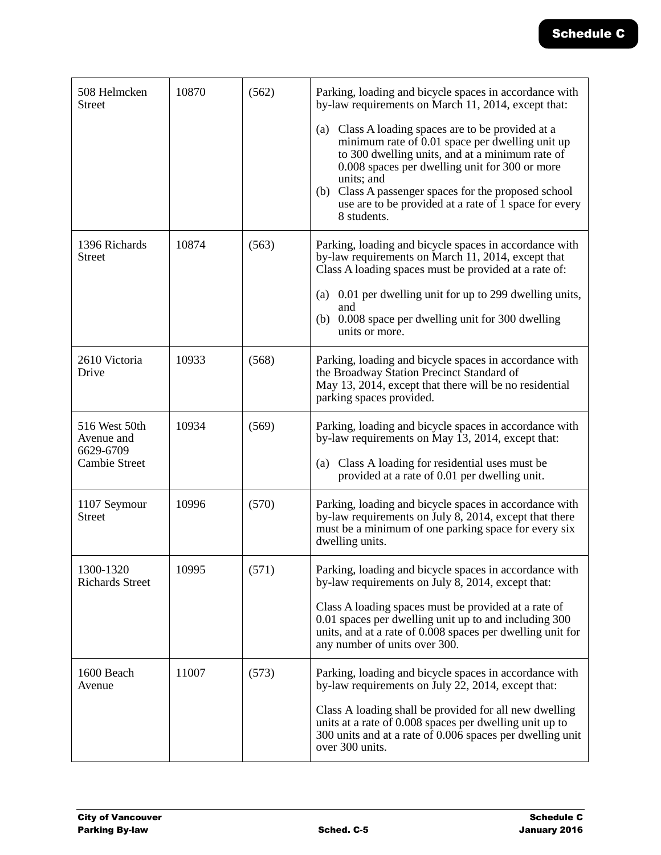| 508 Helmcken<br><b>Street</b>                                    | 10870 | (562) | Parking, loading and bicycle spaces in accordance with<br>by-law requirements on March 11, 2014, except that:                                                                                                                                                                                                                                               |
|------------------------------------------------------------------|-------|-------|-------------------------------------------------------------------------------------------------------------------------------------------------------------------------------------------------------------------------------------------------------------------------------------------------------------------------------------------------------------|
|                                                                  |       |       | Class A loading spaces are to be provided at a<br>(a)<br>minimum rate of 0.01 space per dwelling unit up<br>to 300 dwelling units, and at a minimum rate of<br>0.008 spaces per dwelling unit for 300 or more<br>units; and<br>(b) Class A passenger spaces for the proposed school<br>use are to be provided at a rate of 1 space for every<br>8 students. |
| 1396 Richards<br><b>Street</b>                                   | 10874 | (563) | Parking, loading and bicycle spaces in accordance with<br>by-law requirements on March 11, 2014, except that<br>Class A loading spaces must be provided at a rate of:<br>0.01 per dwelling unit for up to 299 dwelling units,<br>(a)<br>and<br>0.008 space per dwelling unit for 300 dwelling<br>(b)<br>units or more.                                      |
|                                                                  |       |       |                                                                                                                                                                                                                                                                                                                                                             |
| 2610 Victoria<br>Drive                                           | 10933 | (568) | Parking, loading and bicycle spaces in accordance with<br>the Broadway Station Precinct Standard of<br>May 13, 2014, except that there will be no residential<br>parking spaces provided.                                                                                                                                                                   |
| 516 West 50th<br>Avenue and<br>6629-6709<br><b>Cambie Street</b> | 10934 | (569) | Parking, loading and bicycle spaces in accordance with<br>by-law requirements on May 13, 2014, except that:<br>Class A loading for residential uses must be<br>(a)<br>provided at a rate of 0.01 per dwelling unit.                                                                                                                                         |
| 1107 Seymour<br><b>Street</b>                                    | 10996 | (570) | Parking, loading and bicycle spaces in accordance with<br>by-law requirements on July 8, 2014, except that there<br>must be a minimum of one parking space for every six<br>dwelling units.                                                                                                                                                                 |
| 1300-1320<br><b>Richards Street</b>                              | 10995 | (571) | Parking, loading and bicycle spaces in accordance with<br>by-law requirements on July 8, 2014, except that:<br>Class A loading spaces must be provided at a rate of<br>0.01 spaces per dwelling unit up to and including 300<br>units, and at a rate of 0.008 spaces per dwelling unit for<br>any number of units over 300.                                 |
| 1600 Beach<br>Avenue                                             | 11007 | (573) | Parking, loading and bicycle spaces in accordance with<br>by-law requirements on July 22, 2014, except that:<br>Class A loading shall be provided for all new dwelling<br>units at a rate of 0.008 spaces per dwelling unit up to<br>300 units and at a rate of 0.006 spaces per dwelling unit<br>over 300 units.                                           |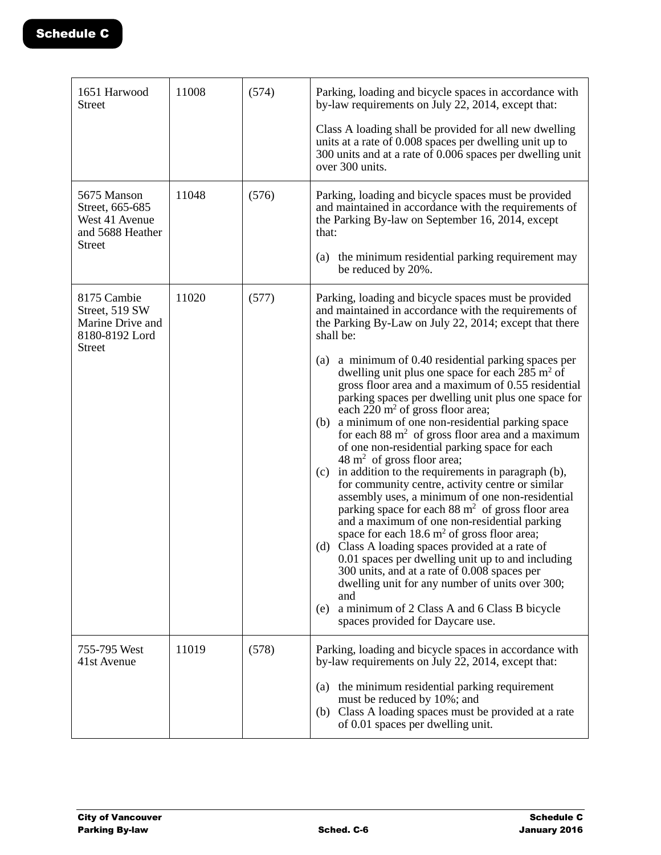| 1651 Harwood<br><b>Street</b>                                                         | 11008 | (574) | Parking, loading and bicycle spaces in accordance with<br>by-law requirements on July 22, 2014, except that:<br>Class A loading shall be provided for all new dwelling<br>units at a rate of 0.008 spaces per dwelling unit up to<br>300 units and at a rate of 0.006 spaces per dwelling unit<br>over 300 units.                                                                                                                                                                                                                                                                                                                                                                                                                                                                                                                                                                                                                                                                                                                                                                                                                                                                                                                                                                                                                                      |
|---------------------------------------------------------------------------------------|-------|-------|--------------------------------------------------------------------------------------------------------------------------------------------------------------------------------------------------------------------------------------------------------------------------------------------------------------------------------------------------------------------------------------------------------------------------------------------------------------------------------------------------------------------------------------------------------------------------------------------------------------------------------------------------------------------------------------------------------------------------------------------------------------------------------------------------------------------------------------------------------------------------------------------------------------------------------------------------------------------------------------------------------------------------------------------------------------------------------------------------------------------------------------------------------------------------------------------------------------------------------------------------------------------------------------------------------------------------------------------------------|
| 5675 Manson<br>Street, 665-685<br>West 41 Avenue<br>and 5688 Heather<br><b>Street</b> | 11048 | (576) | Parking, loading and bicycle spaces must be provided<br>and maintained in accordance with the requirements of<br>the Parking By-law on September 16, 2014, except<br>that:<br>(a) the minimum residential parking requirement may<br>be reduced by 20%.                                                                                                                                                                                                                                                                                                                                                                                                                                                                                                                                                                                                                                                                                                                                                                                                                                                                                                                                                                                                                                                                                                |
| 8175 Cambie<br>Street, 519 SW<br>Marine Drive and<br>8180-8192 Lord<br><b>Street</b>  | 11020 | (577) | Parking, loading and bicycle spaces must be provided<br>and maintained in accordance with the requirements of<br>the Parking By-Law on July 22, 2014; except that there<br>shall be:<br>a minimum of 0.40 residential parking spaces per<br>(a)<br>dwelling unit plus one space for each $285 \text{ m}^2$ of<br>gross floor area and a maximum of 0.55 residential<br>parking spaces per dwelling unit plus one space for<br>each $220 \text{ m}^2$ of gross floor area;<br>a minimum of one non-residential parking space<br>(b)<br>for each $88 \text{ m}^2$ of gross floor area and a maximum<br>of one non-residential parking space for each<br>$48 \text{ m}^2$ of gross floor area;<br>in addition to the requirements in paragraph (b),<br>(c)<br>for community centre, activity centre or similar<br>assembly uses, a minimum of one non-residential<br>parking space for each 88 m <sup>2</sup> of gross floor area<br>and a maximum of one non-residential parking<br>space for each $18.6 \text{ m}^2$ of gross floor area;<br>(d) Class A loading spaces provided at a rate of<br>0.01 spaces per dwelling unit up to and including<br>300 units, and at a rate of 0.008 spaces per<br>dwelling unit for any number of units over 300;<br>and<br>a minimum of 2 Class A and 6 Class B bicycle<br>(e)<br>spaces provided for Daycare use. |
| 755-795 West<br>41st Avenue                                                           | 11019 | (578) | Parking, loading and bicycle spaces in accordance with<br>by-law requirements on July 22, 2014, except that:<br>(a) the minimum residential parking requirement<br>must be reduced by 10%; and<br>(b) Class A loading spaces must be provided at a rate<br>of 0.01 spaces per dwelling unit.                                                                                                                                                                                                                                                                                                                                                                                                                                                                                                                                                                                                                                                                                                                                                                                                                                                                                                                                                                                                                                                           |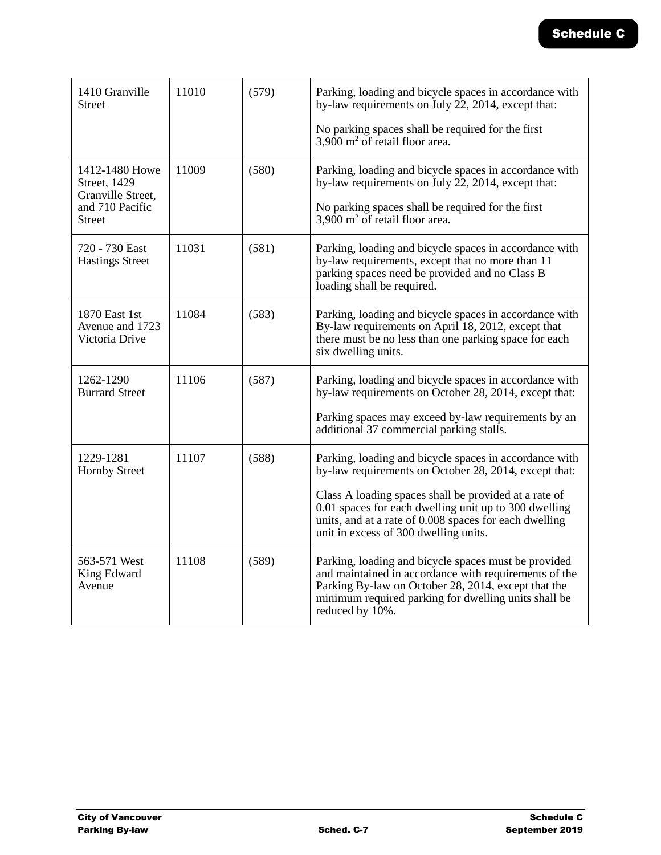| 1410 Granville<br><b>Street</b>                                                         | 11010 | (579) | Parking, loading and bicycle spaces in accordance with<br>by-law requirements on July 22, 2014, except that:<br>No parking spaces shall be required for the first<br>$3,900$ m <sup>2</sup> of retail floor area.                                                                                                                    |
|-----------------------------------------------------------------------------------------|-------|-------|--------------------------------------------------------------------------------------------------------------------------------------------------------------------------------------------------------------------------------------------------------------------------------------------------------------------------------------|
| 1412-1480 Howe<br>Street, 1429<br>Granville Street,<br>and 710 Pacific<br><b>Street</b> | 11009 | (580) | Parking, loading and bicycle spaces in accordance with<br>by-law requirements on July 22, 2014, except that:<br>No parking spaces shall be required for the first<br>$3,900$ m <sup>2</sup> of retail floor area.                                                                                                                    |
| 720 - 730 East<br><b>Hastings Street</b>                                                | 11031 | (581) | Parking, loading and bicycle spaces in accordance with<br>by-law requirements, except that no more than 11<br>parking spaces need be provided and no Class B<br>loading shall be required.                                                                                                                                           |
| 1870 East 1st<br>Avenue and 1723<br>Victoria Drive                                      | 11084 | (583) | Parking, loading and bicycle spaces in accordance with<br>By-law requirements on April 18, 2012, except that<br>there must be no less than one parking space for each<br>six dwelling units.                                                                                                                                         |
| 1262-1290<br><b>Burrard Street</b>                                                      | 11106 | (587) | Parking, loading and bicycle spaces in accordance with<br>by-law requirements on October 28, 2014, except that:<br>Parking spaces may exceed by-law requirements by an<br>additional 37 commercial parking stalls.                                                                                                                   |
| 1229-1281<br><b>Hornby Street</b>                                                       | 11107 | (588) | Parking, loading and bicycle spaces in accordance with<br>by-law requirements on October 28, 2014, except that:<br>Class A loading spaces shall be provided at a rate of<br>0.01 spaces for each dwelling unit up to 300 dwelling<br>units, and at a rate of 0.008 spaces for each dwelling<br>unit in excess of 300 dwelling units. |
| 563-571 West<br>King Edward<br>Avenue                                                   | 11108 | (589) | Parking, loading and bicycle spaces must be provided<br>and maintained in accordance with requirements of the<br>Parking By-law on October 28, 2014, except that the<br>minimum required parking for dwelling units shall be<br>reduced by 10%.                                                                                      |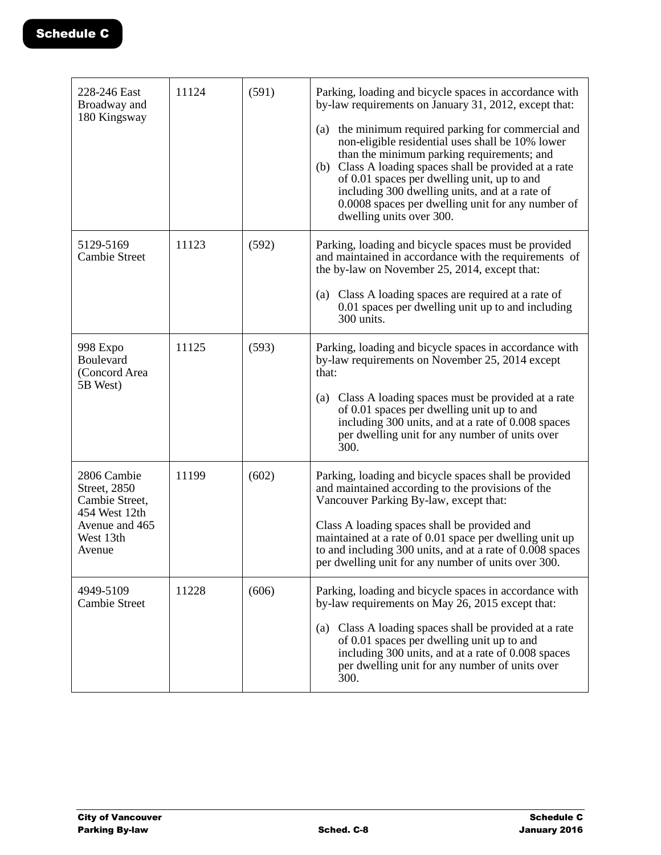| 228-246 East<br>Broadway and                           | 11124 | (591) | Parking, loading and bicycle spaces in accordance with<br>by-law requirements on January 31, 2012, except that:                                                                                                                                                                                                                                                                                   |
|--------------------------------------------------------|-------|-------|---------------------------------------------------------------------------------------------------------------------------------------------------------------------------------------------------------------------------------------------------------------------------------------------------------------------------------------------------------------------------------------------------|
| 180 Kingsway                                           |       |       | (a) the minimum required parking for commercial and<br>non-eligible residential uses shall be 10% lower<br>than the minimum parking requirements; and<br>(b) Class A loading spaces shall be provided at a rate<br>of 0.01 spaces per dwelling unit, up to and<br>including 300 dwelling units, and at a rate of<br>0.0008 spaces per dwelling unit for any number of<br>dwelling units over 300. |
| 5129-5169<br><b>Cambie Street</b>                      | 11123 | (592) | Parking, loading and bicycle spaces must be provided<br>and maintained in accordance with the requirements of<br>the by-law on November 25, 2014, except that:                                                                                                                                                                                                                                    |
|                                                        |       |       | (a) Class A loading spaces are required at a rate of<br>0.01 spaces per dwelling unit up to and including<br>300 units.                                                                                                                                                                                                                                                                           |
| 998 Expo<br>Boulevard<br>(Concord Area                 | 11125 | (593) | Parking, loading and bicycle spaces in accordance with<br>by-law requirements on November 25, 2014 except<br>that:                                                                                                                                                                                                                                                                                |
| 5B West)                                               |       |       | (a) Class A loading spaces must be provided at a rate<br>of 0.01 spaces per dwelling unit up to and<br>including 300 units, and at a rate of 0.008 spaces<br>per dwelling unit for any number of units over<br>300.                                                                                                                                                                               |
| 2806 Cambie<br>Street, 2850<br>Cambie Street,          | 11199 | (602) | Parking, loading and bicycle spaces shall be provided<br>and maintained according to the provisions of the<br>Vancouver Parking By-law, except that:                                                                                                                                                                                                                                              |
| 454 West 12th<br>Avenue and 465<br>West 13th<br>Avenue |       |       | Class A loading spaces shall be provided and<br>maintained at a rate of 0.01 space per dwelling unit up<br>to and including 300 units, and at a rate of 0.008 spaces<br>per dwelling unit for any number of units over 300.                                                                                                                                                                       |
| 4949-5109<br><b>Cambie Street</b>                      | 11228 | (606) | Parking, loading and bicycle spaces in accordance with<br>by-law requirements on May 26, 2015 except that:                                                                                                                                                                                                                                                                                        |
|                                                        |       |       | Class A loading spaces shall be provided at a rate<br>(a)<br>of 0.01 spaces per dwelling unit up to and<br>including 300 units, and at a rate of 0.008 spaces<br>per dwelling unit for any number of units over<br>300.                                                                                                                                                                           |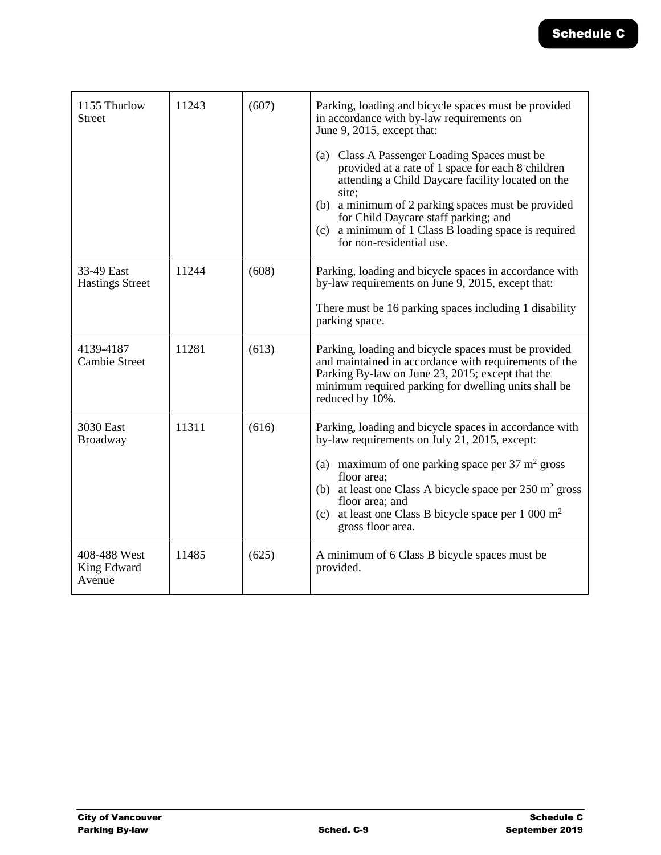| 1155 Thurlow<br><b>Street</b>         | 11243 | (607) | Parking, loading and bicycle spaces must be provided<br>in accordance with by-law requirements on<br>June 9, 2015, except that:<br>(a) Class A Passenger Loading Spaces must be<br>provided at a rate of 1 space for each 8 children<br>attending a Child Daycare facility located on the<br>site:<br>(b) a minimum of 2 parking spaces must be provided<br>for Child Daycare staff parking; and<br>(c) a minimum of $1$ Class $\overline{B}$ loading space is required<br>for non-residential use. |
|---------------------------------------|-------|-------|-----------------------------------------------------------------------------------------------------------------------------------------------------------------------------------------------------------------------------------------------------------------------------------------------------------------------------------------------------------------------------------------------------------------------------------------------------------------------------------------------------|
| 33-49 East<br><b>Hastings Street</b>  | 11244 | (608) | Parking, loading and bicycle spaces in accordance with<br>by-law requirements on June 9, 2015, except that:<br>There must be 16 parking spaces including 1 disability<br>parking space.                                                                                                                                                                                                                                                                                                             |
| 4139-4187<br><b>Cambie Street</b>     | 11281 | (613) | Parking, loading and bicycle spaces must be provided<br>and maintained in accordance with requirements of the<br>Parking By-law on June 23, 2015; except that the<br>minimum required parking for dwelling units shall be<br>reduced by 10%.                                                                                                                                                                                                                                                        |
| 3030 East<br>Broadway                 | 11311 | (616) | Parking, loading and bicycle spaces in accordance with<br>by-law requirements on July 21, 2015, except:<br>maximum of one parking space per $37 \text{ m}^2$ gross<br>(a)<br>floor area;<br>(b) at least one Class A bicycle space per $250 \text{ m}^2$ gross<br>floor area; and<br>(c) at least one Class B bicycle space per $1\ 000\ m^2$<br>gross floor area.                                                                                                                                  |
| 408-488 West<br>King Edward<br>Avenue | 11485 | (625) | A minimum of 6 Class B bicycle spaces must be<br>provided.                                                                                                                                                                                                                                                                                                                                                                                                                                          |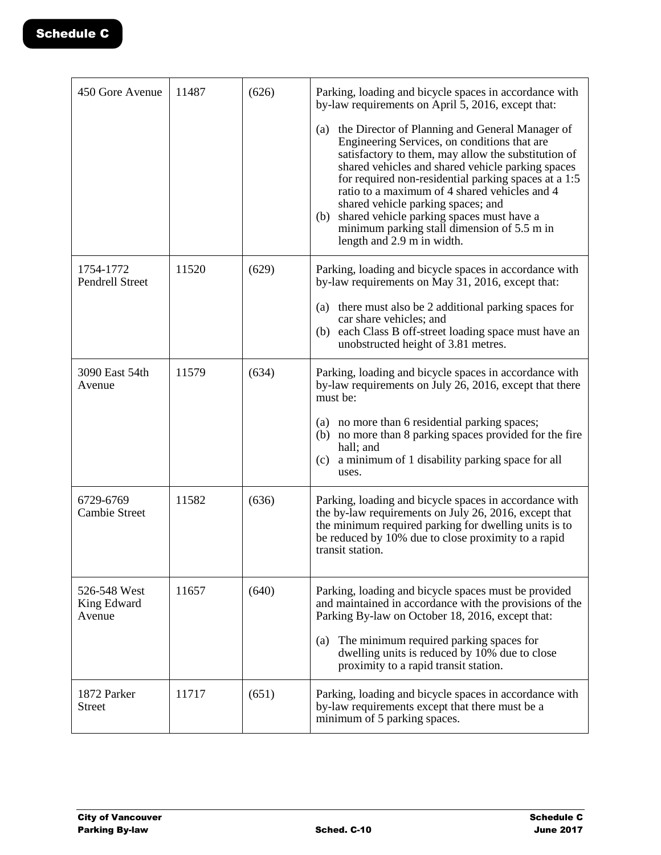| 450 Gore Avenue                       | 11487 | (626) | Parking, loading and bicycle spaces in accordance with<br>by-law requirements on April 5, 2016, except that:                                                                                                                                                                                                                                                                                                                                                                                    |
|---------------------------------------|-------|-------|-------------------------------------------------------------------------------------------------------------------------------------------------------------------------------------------------------------------------------------------------------------------------------------------------------------------------------------------------------------------------------------------------------------------------------------------------------------------------------------------------|
|                                       |       |       | (a) the Director of Planning and General Manager of<br>Engineering Services, on conditions that are<br>satisfactory to them, may allow the substitution of<br>shared vehicles and shared vehicle parking spaces<br>for required non-residential parking spaces at a 1:5<br>ratio to a maximum of 4 shared vehicles and 4<br>shared vehicle parking spaces; and<br>shared vehicle parking spaces must have a<br>(b)<br>minimum parking stall dimension of 5.5 m in<br>length and 2.9 m in width. |
| 1754-1772<br><b>Pendrell Street</b>   | 11520 | (629) | Parking, loading and bicycle spaces in accordance with<br>by-law requirements on May 31, 2016, except that:                                                                                                                                                                                                                                                                                                                                                                                     |
|                                       |       |       | (a) there must also be 2 additional parking spaces for<br>car share vehicles; and<br>(b) each Class B off-street loading space must have an<br>unobstructed height of 3.81 metres.                                                                                                                                                                                                                                                                                                              |
| 3090 East 54th<br>Avenue              | 11579 | (634) | Parking, loading and bicycle spaces in accordance with<br>by-law requirements on July 26, 2016, except that there<br>must be:                                                                                                                                                                                                                                                                                                                                                                   |
|                                       |       |       | (a) no more than 6 residential parking spaces;<br>(b) no more than 8 parking spaces provided for the fire<br>hall; and<br>a minimum of 1 disability parking space for all<br>(c)<br>uses.                                                                                                                                                                                                                                                                                                       |
| 6729-6769<br><b>Cambie Street</b>     | 11582 | (636) | Parking, loading and bicycle spaces in accordance with<br>the by-law requirements on July 26, 2016, except that<br>the minimum required parking for dwelling units is to<br>be reduced by 10% due to close proximity to a rapid<br>transit station.                                                                                                                                                                                                                                             |
| 526-548 West<br>King Edward<br>Avenue | 11657 | (640) | Parking, loading and bicycle spaces must be provided<br>and maintained in accordance with the provisions of the<br>Parking By-law on October 18, 2016, except that:                                                                                                                                                                                                                                                                                                                             |
|                                       |       |       | The minimum required parking spaces for<br>(a)<br>dwelling units is reduced by 10% due to close<br>proximity to a rapid transit station.                                                                                                                                                                                                                                                                                                                                                        |
| 1872 Parker<br><b>Street</b>          | 11717 | (651) | Parking, loading and bicycle spaces in accordance with<br>by-law requirements except that there must be a<br>minimum of 5 parking spaces.                                                                                                                                                                                                                                                                                                                                                       |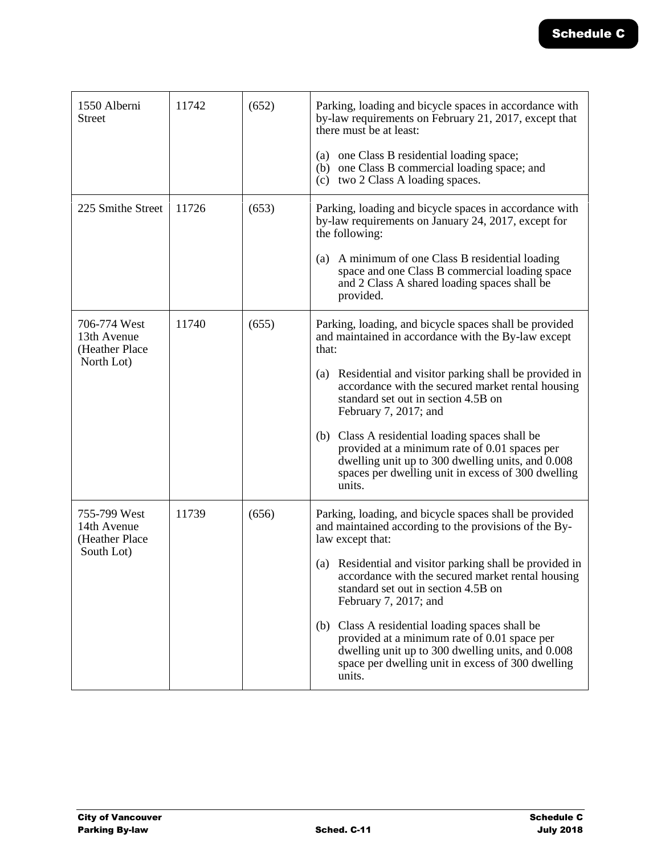| 1550 Alberni<br>Street                                      | 11742 | (652) | Parking, loading and bicycle spaces in accordance with<br>by-law requirements on February 21, 2017, except that<br>there must be at least:<br>(a) one Class B residential loading space;<br>(b) one Class B commercial loading space; and<br>(c) two 2 Class A loading spaces.                                                                                                                                                                                                                                                              |
|-------------------------------------------------------------|-------|-------|---------------------------------------------------------------------------------------------------------------------------------------------------------------------------------------------------------------------------------------------------------------------------------------------------------------------------------------------------------------------------------------------------------------------------------------------------------------------------------------------------------------------------------------------|
| 225 Smithe Street                                           | 11726 | (653) | Parking, loading and bicycle spaces in accordance with<br>by-law requirements on January 24, 2017, except for<br>the following:<br>(a) A minimum of one Class B residential loading<br>space and one Class B commercial loading space<br>and 2 Class A shared loading spaces shall be<br>provided.                                                                                                                                                                                                                                          |
| 706-774 West<br>13th Avenue<br>(Heather Place<br>North Lot) | 11740 | (655) | Parking, loading, and bicycle spaces shall be provided<br>and maintained in accordance with the By-law except<br>that:<br>(a) Residential and visitor parking shall be provided in<br>accordance with the secured market rental housing<br>standard set out in section 4.5B on<br>February 7, 2017; and<br>(b) Class A residential loading spaces shall be<br>provided at a minimum rate of 0.01 spaces per<br>dwelling unit up to 300 dwelling units, and 0.008<br>spaces per dwelling unit in excess of 300 dwelling<br>units.            |
| 755-799 West<br>14th Avenue<br>(Heather Place<br>South Lot) | 11739 | (656) | Parking, loading, and bicycle spaces shall be provided<br>and maintained according to the provisions of the By-<br>law except that:<br>(a) Residential and visitor parking shall be provided in<br>accordance with the secured market rental housing<br>standard set out in section 4.5B on<br>February 7, 2017; and<br>(b) Class A residential loading spaces shall be<br>provided at a minimum rate of 0.01 space per<br>dwelling unit up to 300 dwelling units, and 0.008<br>space per dwelling unit in excess of 300 dwelling<br>units. |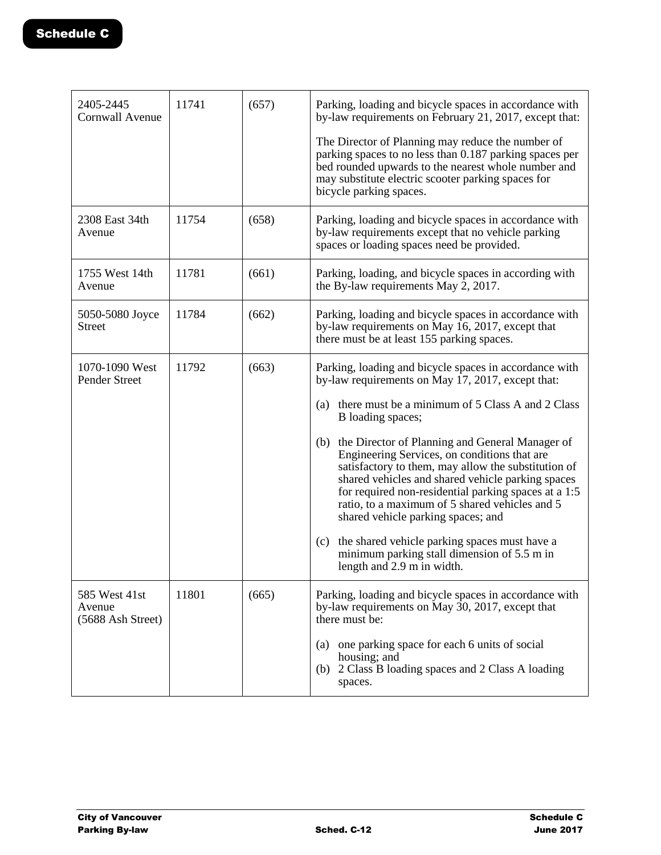| 2405-2445<br><b>Cornwall Avenue</b>          | 11741 | (657) | Parking, loading and bicycle spaces in accordance with<br>by-law requirements on February 21, 2017, except that:                                                                                                                                                                                                                                                |
|----------------------------------------------|-------|-------|-----------------------------------------------------------------------------------------------------------------------------------------------------------------------------------------------------------------------------------------------------------------------------------------------------------------------------------------------------------------|
|                                              |       |       | The Director of Planning may reduce the number of<br>parking spaces to no less than 0.187 parking spaces per<br>bed rounded upwards to the nearest whole number and<br>may substitute electric scooter parking spaces for<br>bicycle parking spaces.                                                                                                            |
| 2308 East 34th<br>Avenue                     | 11754 | (658) | Parking, loading and bicycle spaces in accordance with<br>by-law requirements except that no vehicle parking<br>spaces or loading spaces need be provided.                                                                                                                                                                                                      |
| 1755 West 14th<br>Avenue                     | 11781 | (661) | Parking, loading, and bicycle spaces in according with<br>the By-law requirements May 2, 2017.                                                                                                                                                                                                                                                                  |
| 5050-5080 Joyce<br><b>Street</b>             | 11784 | (662) | Parking, loading and bicycle spaces in accordance with<br>by-law requirements on May 16, 2017, except that<br>there must be at least 155 parking spaces.                                                                                                                                                                                                        |
| 1070-1090 West<br>Pender Street              | 11792 | (663) | Parking, loading and bicycle spaces in accordance with<br>by-law requirements on May 17, 2017, except that:                                                                                                                                                                                                                                                     |
|                                              |       |       | there must be a minimum of 5 Class A and 2 Class<br>(a)<br>B loading spaces;                                                                                                                                                                                                                                                                                    |
|                                              |       |       | (b) the Director of Planning and General Manager of<br>Engineering Services, on conditions that are<br>satisfactory to them, may allow the substitution of<br>shared vehicles and shared vehicle parking spaces<br>for required non-residential parking spaces at a 1:5<br>ratio, to a maximum of 5 shared vehicles and 5<br>shared vehicle parking spaces; and |
|                                              |       |       | the shared vehicle parking spaces must have a<br>(c)<br>minimum parking stall dimension of 5.5 m in<br>length and 2.9 m in width.                                                                                                                                                                                                                               |
| 585 West 41st<br>Avenue<br>(5688 Ash Street) | 11801 | (665) | Parking, loading and bicycle spaces in accordance with<br>by-law requirements on May 30, 2017, except that<br>there must be:                                                                                                                                                                                                                                    |
|                                              |       |       | one parking space for each 6 units of social<br>(a)<br>housing; and<br>(b) 2 Class B loading spaces and 2 Class A loading<br>spaces.                                                                                                                                                                                                                            |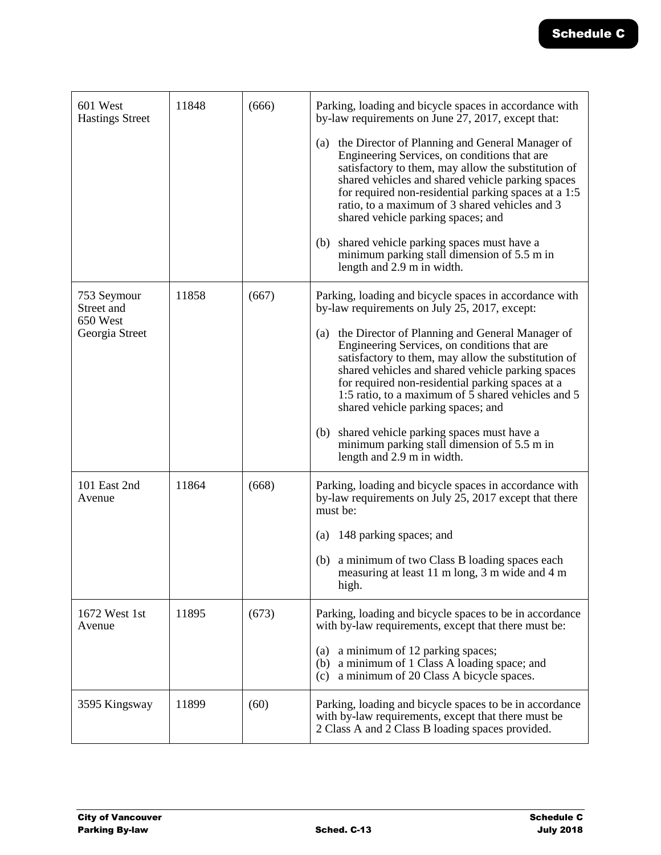| 601 West<br><b>Hastings Street</b> | 11848 | (666) | Parking, loading and bicycle spaces in accordance with<br>by-law requirements on June 27, 2017, except that:                                                                                                                                                                                                                                                       |
|------------------------------------|-------|-------|--------------------------------------------------------------------------------------------------------------------------------------------------------------------------------------------------------------------------------------------------------------------------------------------------------------------------------------------------------------------|
|                                    |       |       | (a) the Director of Planning and General Manager of<br>Engineering Services, on conditions that are<br>satisfactory to them, may allow the substitution of<br>shared vehicles and shared vehicle parking spaces<br>for required non-residential parking spaces at a 1:5<br>ratio, to a maximum of 3 shared vehicles and 3<br>shared vehicle parking spaces; and    |
|                                    |       |       | shared vehicle parking spaces must have a<br>(b)<br>minimum parking stall dimension of 5.5 m in<br>length and 2.9 m in width.                                                                                                                                                                                                                                      |
| 753 Seymour<br>Street and          | 11858 | (667) | Parking, loading and bicycle spaces in accordance with<br>by-law requirements on July 25, 2017, except:                                                                                                                                                                                                                                                            |
| 650 West<br>Georgia Street         |       |       | the Director of Planning and General Manager of<br>(a)<br>Engineering Services, on conditions that are<br>satisfactory to them, may allow the substitution of<br>shared vehicles and shared vehicle parking spaces<br>for required non-residential parking spaces at a<br>1:5 ratio, to a maximum of 5 shared vehicles and 5<br>shared vehicle parking spaces; and |
|                                    |       |       | shared vehicle parking spaces must have a<br>(b)<br>minimum parking stall dimension of 5.5 m in<br>length and 2.9 m in width.                                                                                                                                                                                                                                      |
| 101 East 2nd<br>Avenue             | 11864 | (668) | Parking, loading and bicycle spaces in accordance with<br>by-law requirements on July 25, 2017 except that there<br>must be:                                                                                                                                                                                                                                       |
|                                    |       |       | 148 parking spaces; and<br>(a)                                                                                                                                                                                                                                                                                                                                     |
|                                    |       |       | (b) a minimum of two Class B loading spaces each<br>measuring at least 11 m long, 3 m wide and 4 m<br>high.                                                                                                                                                                                                                                                        |
| 1672 West 1st<br>Avenue            | 11895 | (673) | Parking, loading and bicycle spaces to be in accordance<br>with by-law requirements, except that there must be:                                                                                                                                                                                                                                                    |
|                                    |       |       | a minimum of 12 parking spaces;<br>(a)<br>(b) a minimum of 1 Class A loading space; and<br>a minimum of 20 Class A bicycle spaces.<br>(c)                                                                                                                                                                                                                          |
| 3595 Kingsway                      | 11899 | (60)  | Parking, loading and bicycle spaces to be in accordance<br>with by-law requirements, except that there must be<br>2 Class A and 2 Class B loading spaces provided.                                                                                                                                                                                                 |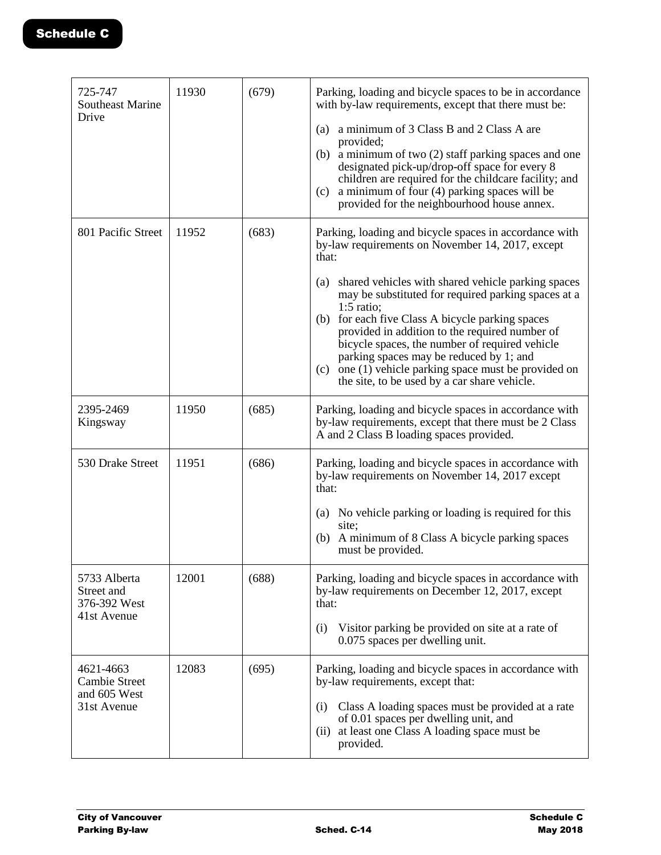| 725-747<br><b>Southeast Marine</b><br>Drive                      | 11930 | (679) | Parking, loading and bicycle spaces to be in accordance<br>with by-law requirements, except that there must be:<br>a minimum of 3 Class B and 2 Class A are<br>(a)<br>provided;<br>(b) a minimum of two $(2)$ staff parking spaces and one<br>designated pick-up/drop-off space for every 8<br>children are required for the childcare facility; and<br>a minimum of four (4) parking spaces will be<br>(c)<br>provided for the neighbourhood house annex.                                                                                                                |
|------------------------------------------------------------------|-------|-------|---------------------------------------------------------------------------------------------------------------------------------------------------------------------------------------------------------------------------------------------------------------------------------------------------------------------------------------------------------------------------------------------------------------------------------------------------------------------------------------------------------------------------------------------------------------------------|
| 801 Pacific Street                                               | 11952 | (683) | Parking, loading and bicycle spaces in accordance with<br>by-law requirements on November 14, 2017, except<br>that:<br>shared vehicles with shared vehicle parking spaces<br>(a)<br>may be substituted for required parking spaces at a<br>$1:5$ ratio;<br>for each five Class A bicycle parking spaces<br>(b)<br>provided in addition to the required number of<br>bicycle spaces, the number of required vehicle<br>parking spaces may be reduced by 1; and<br>one (1) vehicle parking space must be provided on<br>(c)<br>the site, to be used by a car share vehicle. |
| 2395-2469<br>Kingsway                                            | 11950 | (685) | Parking, loading and bicycle spaces in accordance with<br>by-law requirements, except that there must be 2 Class<br>A and 2 Class B loading spaces provided.                                                                                                                                                                                                                                                                                                                                                                                                              |
| 530 Drake Street                                                 | 11951 | (686) | Parking, loading and bicycle spaces in accordance with<br>by-law requirements on November 14, 2017 except<br>that:<br>(a) No vehicle parking or loading is required for this<br>site;<br>A minimum of 8 Class A bicycle parking spaces<br>(b)<br>must be provided.                                                                                                                                                                                                                                                                                                        |
| 5733 Alberta<br>Street and<br>376-392 West<br>41st Avenue        | 12001 | (688) | Parking, loading and bicycle spaces in accordance with<br>by-law requirements on December 12, 2017, except<br>that:<br>Visitor parking be provided on site at a rate of<br>(i)<br>0.075 spaces per dwelling unit.                                                                                                                                                                                                                                                                                                                                                         |
| 4621-4663<br><b>Cambie Street</b><br>and 605 West<br>31st Avenue | 12083 | (695) | Parking, loading and bicycle spaces in accordance with<br>by-law requirements, except that:<br>Class A loading spaces must be provided at a rate<br>(i)<br>of 0.01 spaces per dwelling unit, and<br>at least one Class A loading space must be<br>(ii)<br>provided.                                                                                                                                                                                                                                                                                                       |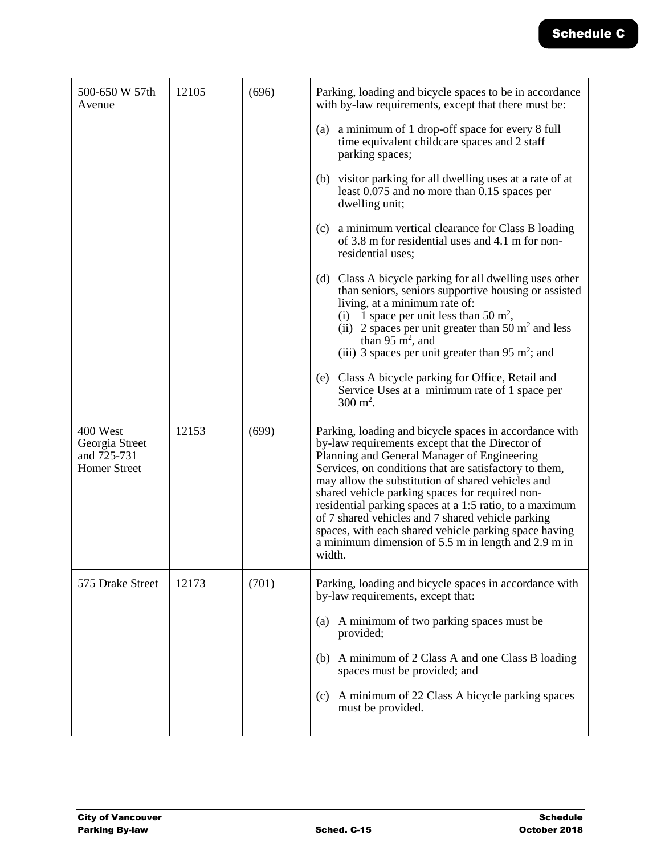| 500-650 W 57th<br>Avenue                                         | 12105 | (696) | Parking, loading and bicycle spaces to be in accordance<br>with by-law requirements, except that there must be:                                                                                                                                                                                                                                                                                                                                                                                                                                                      |
|------------------------------------------------------------------|-------|-------|----------------------------------------------------------------------------------------------------------------------------------------------------------------------------------------------------------------------------------------------------------------------------------------------------------------------------------------------------------------------------------------------------------------------------------------------------------------------------------------------------------------------------------------------------------------------|
|                                                                  |       |       | (a) a minimum of 1 drop-off space for every 8 full<br>time equivalent childcare spaces and 2 staff<br>parking spaces;                                                                                                                                                                                                                                                                                                                                                                                                                                                |
|                                                                  |       |       | visitor parking for all dwelling uses at a rate of at<br>(b)<br>least 0.075 and no more than 0.15 spaces per<br>dwelling unit;                                                                                                                                                                                                                                                                                                                                                                                                                                       |
|                                                                  |       |       | (c)<br>a minimum vertical clearance for Class B loading<br>of 3.8 m for residential uses and 4.1 m for non-<br>residential uses;                                                                                                                                                                                                                                                                                                                                                                                                                                     |
|                                                                  |       |       | (d) Class A bicycle parking for all dwelling uses other<br>than seniors, seniors supportive housing or assisted<br>living, at a minimum rate of:<br>(i) 1 space per unit less than 50 $m^2$ ,<br>(ii) 2 spaces per unit greater than 50 $m2$ and less<br>than 95 $\mathrm{m}^2$ , and<br>(iii) 3 spaces per unit greater than 95 m <sup>2</sup> ; and                                                                                                                                                                                                                |
|                                                                  |       |       | (e) Class A bicycle parking for Office, Retail and<br>Service Uses at a minimum rate of 1 space per<br>$300 \text{ m}^2$ .                                                                                                                                                                                                                                                                                                                                                                                                                                           |
| 400 West<br>Georgia Street<br>and 725-731<br><b>Homer Street</b> | 12153 | (699) | Parking, loading and bicycle spaces in accordance with<br>by-law requirements except that the Director of<br>Planning and General Manager of Engineering<br>Services, on conditions that are satisfactory to them,<br>may allow the substitution of shared vehicles and<br>shared vehicle parking spaces for required non-<br>residential parking spaces at a 1:5 ratio, to a maximum<br>of 7 shared vehicles and 7 shared vehicle parking<br>spaces, with each shared vehicle parking space having<br>a minimum dimension of 5.5 m in length and 2.9 m in<br>width. |
| 575 Drake Street                                                 | 12173 | (701) | Parking, loading and bicycle spaces in accordance with<br>by-law requirements, except that:                                                                                                                                                                                                                                                                                                                                                                                                                                                                          |
|                                                                  |       |       | A minimum of two parking spaces must be<br>(a)<br>provided;                                                                                                                                                                                                                                                                                                                                                                                                                                                                                                          |
|                                                                  |       |       | A minimum of 2 Class A and one Class B loading<br>(b)<br>spaces must be provided; and                                                                                                                                                                                                                                                                                                                                                                                                                                                                                |
|                                                                  |       |       | A minimum of 22 Class A bicycle parking spaces<br>(c)<br>must be provided.                                                                                                                                                                                                                                                                                                                                                                                                                                                                                           |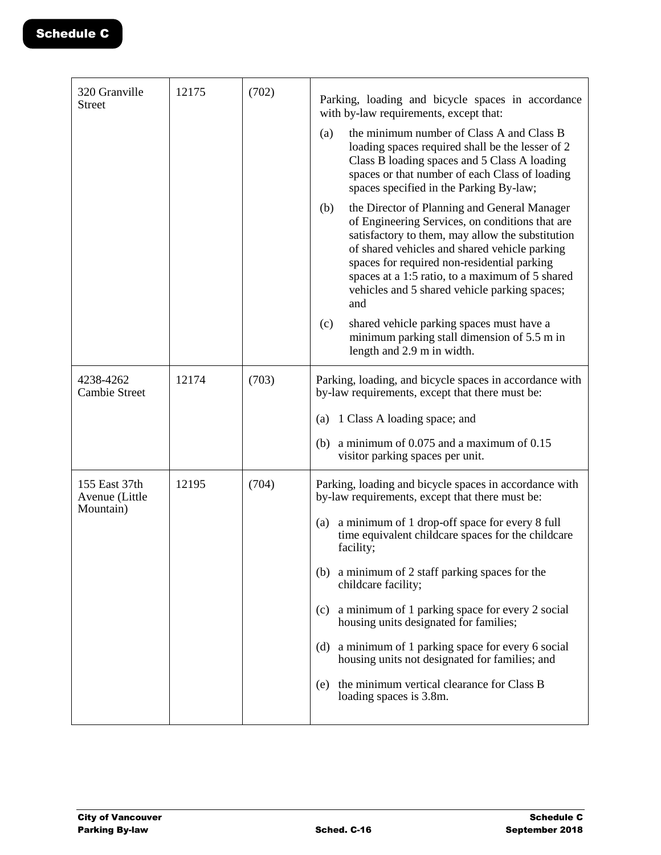| 320 Granville<br><b>Street</b>               | 12175 | (702) | Parking, loading and bicycle spaces in accordance<br>with by-law requirements, except that:                                                                                                                                                                                                                                                                           |
|----------------------------------------------|-------|-------|-----------------------------------------------------------------------------------------------------------------------------------------------------------------------------------------------------------------------------------------------------------------------------------------------------------------------------------------------------------------------|
|                                              |       |       | the minimum number of Class A and Class B<br>(a)<br>loading spaces required shall be the lesser of 2<br>Class B loading spaces and 5 Class A loading<br>spaces or that number of each Class of loading<br>spaces specified in the Parking By-law;                                                                                                                     |
|                                              |       |       | the Director of Planning and General Manager<br>(b)<br>of Engineering Services, on conditions that are<br>satisfactory to them, may allow the substitution<br>of shared vehicles and shared vehicle parking<br>spaces for required non-residential parking<br>spaces at a 1:5 ratio, to a maximum of 5 shared<br>vehicles and 5 shared vehicle parking spaces;<br>and |
|                                              |       |       | shared vehicle parking spaces must have a<br>(c)<br>minimum parking stall dimension of 5.5 m in<br>length and 2.9 m in width.                                                                                                                                                                                                                                         |
| 4238-4262<br><b>Cambie Street</b>            | 12174 | (703) | Parking, loading, and bicycle spaces in accordance with<br>by-law requirements, except that there must be:                                                                                                                                                                                                                                                            |
|                                              |       |       | (a) 1 Class A loading space; and                                                                                                                                                                                                                                                                                                                                      |
|                                              |       |       | (b) a minimum of $0.075$ and a maximum of $0.15$<br>visitor parking spaces per unit.                                                                                                                                                                                                                                                                                  |
| 155 East 37th<br>Avenue (Little<br>Mountain) | 12195 | (704) | Parking, loading and bicycle spaces in accordance with<br>by-law requirements, except that there must be:                                                                                                                                                                                                                                                             |
|                                              |       |       | a minimum of 1 drop-off space for every 8 full<br>(a)<br>time equivalent childcare spaces for the childcare<br>facility;                                                                                                                                                                                                                                              |
|                                              |       |       | (b) a minimum of 2 staff parking spaces for the<br>childcare facility;                                                                                                                                                                                                                                                                                                |
|                                              |       |       | a minimum of 1 parking space for every 2 social<br>(c)<br>housing units designated for families;                                                                                                                                                                                                                                                                      |
|                                              |       |       | (d) a minimum of 1 parking space for every 6 social<br>housing units not designated for families; and                                                                                                                                                                                                                                                                 |
|                                              |       |       | the minimum vertical clearance for Class B<br>(e)<br>loading spaces is 3.8m.                                                                                                                                                                                                                                                                                          |
|                                              |       |       |                                                                                                                                                                                                                                                                                                                                                                       |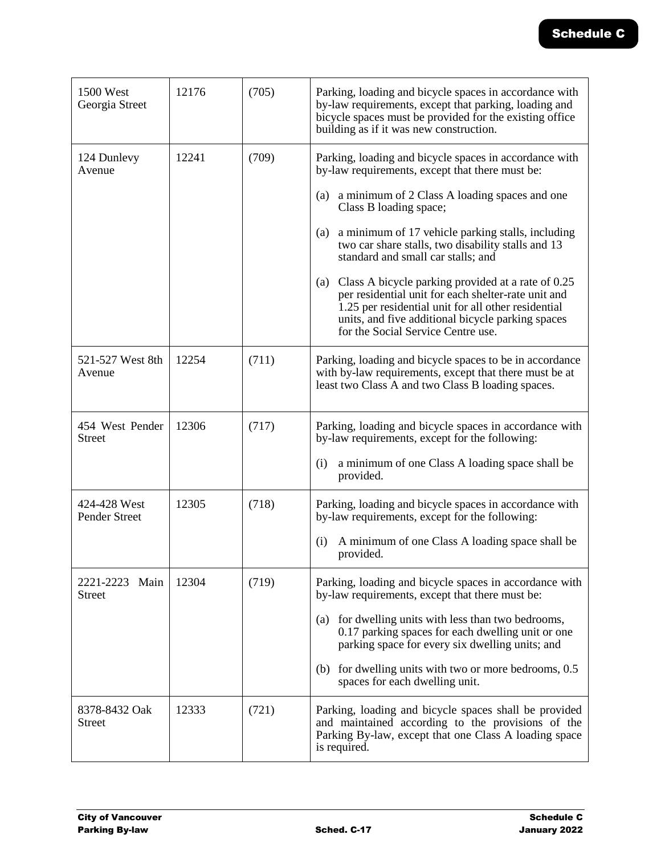| 1500 West<br>Georgia Street          | 12176 | (705) | Parking, loading and bicycle spaces in accordance with<br>by-law requirements, except that parking, loading and<br>bicycle spaces must be provided for the existing office<br>building as if it was new construction.                                                                                                                                                                                                                                                                                                                                                                                                  |
|--------------------------------------|-------|-------|------------------------------------------------------------------------------------------------------------------------------------------------------------------------------------------------------------------------------------------------------------------------------------------------------------------------------------------------------------------------------------------------------------------------------------------------------------------------------------------------------------------------------------------------------------------------------------------------------------------------|
| 124 Dunlevy<br>Avenue                | 12241 | (709) | Parking, loading and bicycle spaces in accordance with<br>by-law requirements, except that there must be:<br>(a) a minimum of 2 Class A loading spaces and one<br>Class B loading space;<br>a minimum of 17 vehicle parking stalls, including<br>(a)<br>two car share stalls, two disability stalls and 13<br>standard and small car stalls; and<br>Class A bicycle parking provided at a rate of 0.25<br>(a)<br>per residential unit for each shelter-rate unit and<br>1.25 per residential unit for all other residential<br>units, and five additional bicycle parking spaces<br>for the Social Service Centre use. |
| 521-527 West 8th<br>Avenue           | 12254 | (711) | Parking, loading and bicycle spaces to be in accordance<br>with by-law requirements, except that there must be at<br>least two Class A and two Class B loading spaces.                                                                                                                                                                                                                                                                                                                                                                                                                                                 |
| 454 West Pender<br>Street            | 12306 | (717) | Parking, loading and bicycle spaces in accordance with<br>by-law requirements, except for the following:<br>a minimum of one Class A loading space shall be<br>(i)<br>provided.                                                                                                                                                                                                                                                                                                                                                                                                                                        |
| 424-428 West<br><b>Pender Street</b> | 12305 | (718) | Parking, loading and bicycle spaces in accordance with<br>by-law requirements, except for the following:<br>A minimum of one Class A loading space shall be<br>(i)<br>provided.                                                                                                                                                                                                                                                                                                                                                                                                                                        |
| 2221-2223<br>Main<br><b>Street</b>   | 12304 | (719) | Parking, loading and bicycle spaces in accordance with<br>by-law requirements, except that there must be:<br>(a) for dwelling units with less than two bedrooms,<br>0.17 parking spaces for each dwelling unit or one<br>parking space for every six dwelling units; and<br>for dwelling units with two or more bedrooms, 0.5<br>(b)<br>spaces for each dwelling unit.                                                                                                                                                                                                                                                 |
| 8378-8432 Oak<br>Street              | 12333 | (721) | Parking, loading and bicycle spaces shall be provided<br>and maintained according to the provisions of the<br>Parking By-law, except that one Class A loading space<br>is required.                                                                                                                                                                                                                                                                                                                                                                                                                                    |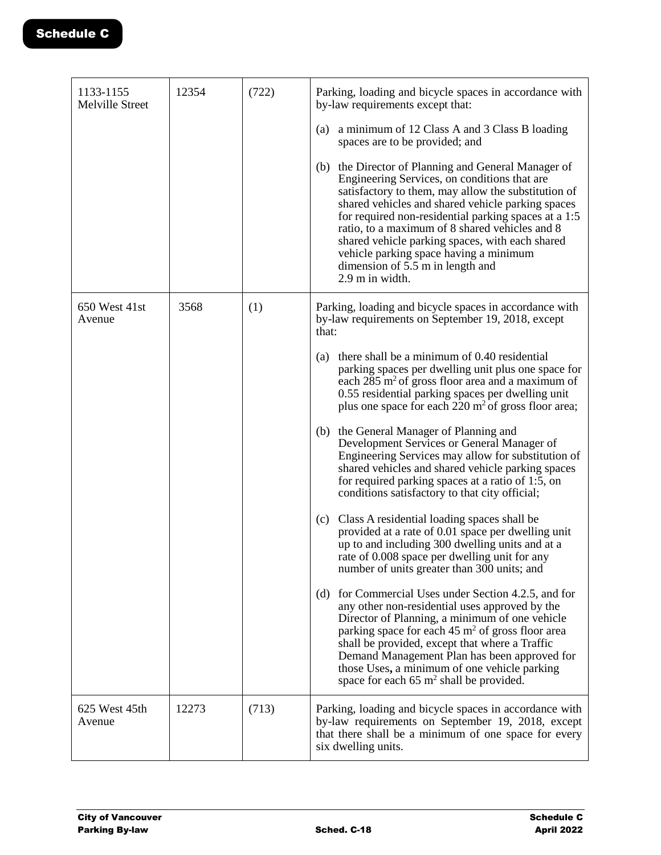| 1133-1155<br>Melville Street | 12354 | (722) | Parking, loading and bicycle spaces in accordance with<br>by-law requirements except that:                                                                                                                                                                                                                                                                                                                                                                                    |
|------------------------------|-------|-------|-------------------------------------------------------------------------------------------------------------------------------------------------------------------------------------------------------------------------------------------------------------------------------------------------------------------------------------------------------------------------------------------------------------------------------------------------------------------------------|
|                              |       |       | a minimum of 12 Class A and 3 Class B loading<br>(a)<br>spaces are to be provided; and                                                                                                                                                                                                                                                                                                                                                                                        |
|                              |       |       | (b) the Director of Planning and General Manager of<br>Engineering Services, on conditions that are<br>satisfactory to them, may allow the substitution of<br>shared vehicles and shared vehicle parking spaces<br>for required non-residential parking spaces at a 1:5<br>ratio, to a maximum of 8 shared vehicles and 8<br>shared vehicle parking spaces, with each shared<br>vehicle parking space having a minimum<br>dimension of 5.5 m in length and<br>2.9 m in width. |
| 650 West 41st<br>Avenue      | 3568  | (1)   | Parking, loading and bicycle spaces in accordance with<br>by-law requirements on September 19, 2018, except<br>that:                                                                                                                                                                                                                                                                                                                                                          |
|                              |       |       | there shall be a minimum of 0.40 residential<br>(a)<br>parking spaces per dwelling unit plus one space for<br>each $285 \text{ m}^2$ of gross floor area and a maximum of<br>0.55 residential parking spaces per dwelling unit<br>plus one space for each $220 \text{ m}^2$ of gross floor area;                                                                                                                                                                              |
|                              |       |       | (b) the General Manager of Planning and<br>Development Services or General Manager of<br>Engineering Services may allow for substitution of<br>shared vehicles and shared vehicle parking spaces<br>for required parking spaces at a ratio of 1:5, on<br>conditions satisfactory to that city official;                                                                                                                                                                       |
|                              |       |       | Class A residential loading spaces shall be<br>(c)<br>provided at a rate of 0.01 space per dwelling unit<br>up to and including 300 dwelling units and at a<br>rate of 0.008 space per dwelling unit for any<br>number of units greater than 300 units; and                                                                                                                                                                                                                   |
|                              |       |       | for Commercial Uses under Section 4.2.5, and for<br>(d)<br>any other non-residential uses approved by the<br>Director of Planning, a minimum of one vehicle<br>parking space for each $45 \text{ m}^2$ of gross floor area<br>shall be provided, except that where a Traffic<br>Demand Management Plan has been approved for<br>those Uses, a minimum of one vehicle parking<br>space for each $65 \text{ m}^2$ shall be provided.                                            |
| 625 West 45th<br>Avenue      | 12273 | (713) | Parking, loading and bicycle spaces in accordance with<br>by-law requirements on September 19, 2018, except<br>that there shall be a minimum of one space for every<br>six dwelling units.                                                                                                                                                                                                                                                                                    |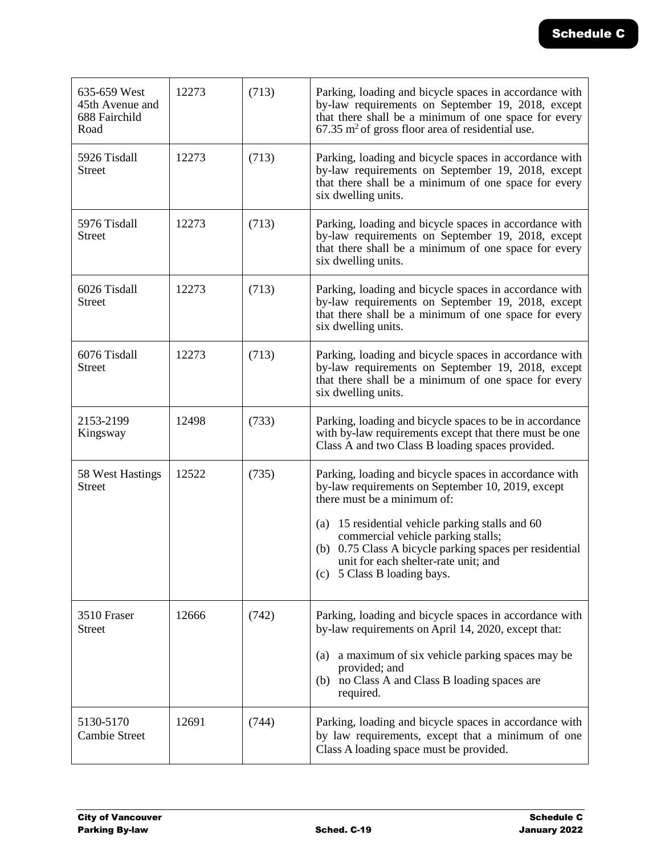| 635-659 West<br>45th Avenue and<br>688 Fairchild<br>Road | 12273 | (713) | Parking, loading and bicycle spaces in accordance with<br>by-law requirements on September 19, 2018, except<br>that there shall be a minimum of one space for every<br>$67.35$ m <sup>2</sup> of gross floor area of residential use.                                                                                                                                     |
|----------------------------------------------------------|-------|-------|---------------------------------------------------------------------------------------------------------------------------------------------------------------------------------------------------------------------------------------------------------------------------------------------------------------------------------------------------------------------------|
| 5926 Tisdall<br>Street                                   | 12273 | (713) | Parking, loading and bicycle spaces in accordance with<br>by-law requirements on September 19, 2018, except<br>that there shall be a minimum of one space for every<br>six dwelling units.                                                                                                                                                                                |
| 5976 Tisdall<br><b>Street</b>                            | 12273 | (713) | Parking, loading and bicycle spaces in accordance with<br>by-law requirements on September 19, 2018, except<br>that there shall be a minimum of one space for every<br>six dwelling units.                                                                                                                                                                                |
| 6026 Tisdall<br>Street                                   | 12273 | (713) | Parking, loading and bicycle spaces in accordance with<br>by-law requirements on September 19, 2018, except<br>that there shall be a minimum of one space for every<br>six dwelling units.                                                                                                                                                                                |
| 6076 Tisdall<br>Street                                   | 12273 | (713) | Parking, loading and bicycle spaces in accordance with<br>by-law requirements on September 19, 2018, except<br>that there shall be a minimum of one space for every<br>six dwelling units.                                                                                                                                                                                |
| 2153-2199<br>Kingsway                                    | 12498 | (733) | Parking, loading and bicycle spaces to be in accordance<br>with by-law requirements except that there must be one<br>Class A and two Class B loading spaces provided.                                                                                                                                                                                                     |
| 58 West Hastings<br>Street                               | 12522 | (735) | Parking, loading and bicycle spaces in accordance with<br>by-law requirements on September 10, 2019, except<br>there must be a minimum of:<br>(a)<br>15 residential vehicle parking stalls and 60<br>commercial vehicle parking stalls;<br>(b) 0.75 Class A bicycle parking spaces per residential<br>unit for each shelter-rate unit; and<br>(c) 5 Class B loading bays. |
| 3510 Fraser<br><b>Street</b>                             | 12666 | (742) | Parking, loading and bicycle spaces in accordance with<br>by-law requirements on April 14, 2020, except that:<br>a maximum of six vehicle parking spaces may be<br>(a)<br>provided; and<br>no Class A and Class B loading spaces are<br>(b)<br>required.                                                                                                                  |
| 5130-5170<br><b>Cambie Street</b>                        | 12691 | (744) | Parking, loading and bicycle spaces in accordance with<br>by law requirements, except that a minimum of one<br>Class A loading space must be provided.                                                                                                                                                                                                                    |